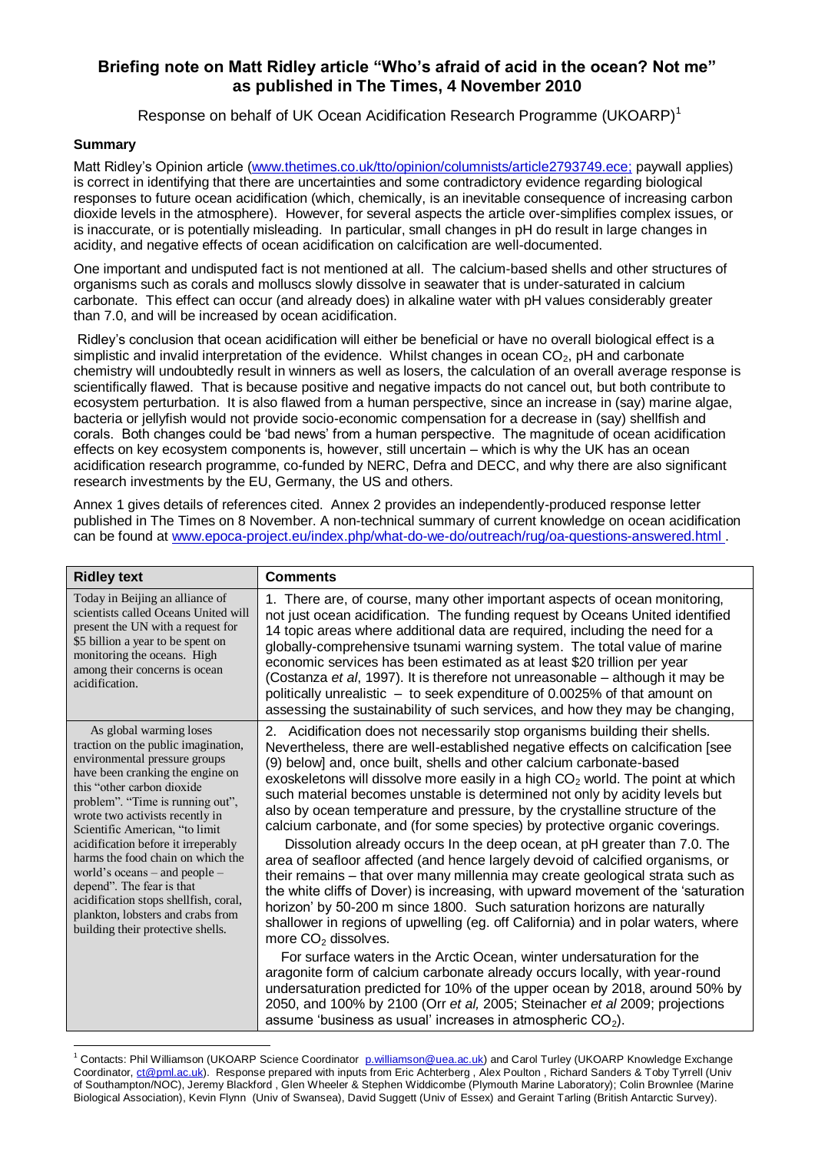## **Briefing note on Matt Ridley article "Who's afraid of acid in the ocean? Not me" as published in The Times, 4 November 2010**

Response on behalf of UK Ocean Acidification Research Programme (UKOARP)<sup>1</sup>

## **Summary**

Matt Ridley"s Opinion article [\(www.thetimes.co.uk/tto/opinion/columnists/article2793749.ece;](http://www.thetimes.co.uk/tto/opinion/columnists/article2793749.ece) paywall applies) is correct in identifying that there are uncertainties and some contradictory evidence regarding biological responses to future ocean acidification (which, chemically, is an inevitable consequence of increasing carbon dioxide levels in the atmosphere). However, for several aspects the article over-simplifies complex issues, or is inaccurate, or is potentially misleading. In particular, small changes in pH do result in large changes in acidity, and negative effects of ocean acidification on calcification are well-documented.

One important and undisputed fact is not mentioned at all. The calcium-based shells and other structures of organisms such as corals and molluscs slowly dissolve in seawater that is under-saturated in calcium carbonate. This effect can occur (and already does) in alkaline water with pH values considerably greater than 7.0, and will be increased by ocean acidification.

Ridley"s conclusion that ocean acidification will either be beneficial or have no overall biological effect is a simplistic and invalid interpretation of the evidence. Whilst changes in ocean CO<sub>2</sub>, pH and carbonate chemistry will undoubtedly result in winners as well as losers, the calculation of an overall average response is scientifically flawed. That is because positive and negative impacts do not cancel out, but both contribute to ecosystem perturbation. It is also flawed from a human perspective, since an increase in (say) marine algae, bacteria or jellyfish would not provide socio-economic compensation for a decrease in (say) shellfish and corals. Both changes could be "bad news" from a human perspective. The magnitude of ocean acidification effects on key ecosystem components is, however, still uncertain – which is why the UK has an ocean acidification research programme, co-funded by NERC, Defra and DECC, and why there are also significant research investments by the EU, Germany, the US and others.

Annex 1 gives details of references cited. Annex 2 provides an independently-produced response letter published in The Times on 8 November. A non-technical summary of current knowledge on ocean acidification can be found at [www.epoca-project.eu/index.php/what-do-we-do/outreach/rug/oa-questions-answered.html .](http://www.epoca-project.eu/index.php/what-do-we-do/outreach/rug/oa-questions-answered.html)

| <b>Ridley text</b>                                                                                                                                                                                                                                                                                                                                                                                                                                                                                                                       | <b>Comments</b>                                                                                                                                                                                                                                                                                                                                                                                                                                                                                                                                                                                                                                                                                                                                                                                                                                                                                                                                                                                                                                                                                                                                                                                                                                                                                                                                                                                                                                                                             |
|------------------------------------------------------------------------------------------------------------------------------------------------------------------------------------------------------------------------------------------------------------------------------------------------------------------------------------------------------------------------------------------------------------------------------------------------------------------------------------------------------------------------------------------|---------------------------------------------------------------------------------------------------------------------------------------------------------------------------------------------------------------------------------------------------------------------------------------------------------------------------------------------------------------------------------------------------------------------------------------------------------------------------------------------------------------------------------------------------------------------------------------------------------------------------------------------------------------------------------------------------------------------------------------------------------------------------------------------------------------------------------------------------------------------------------------------------------------------------------------------------------------------------------------------------------------------------------------------------------------------------------------------------------------------------------------------------------------------------------------------------------------------------------------------------------------------------------------------------------------------------------------------------------------------------------------------------------------------------------------------------------------------------------------------|
| Today in Beijing an alliance of<br>scientists called Oceans United will<br>present the UN with a request for<br>\$5 billion a year to be spent on<br>monitoring the oceans. High<br>among their concerns is ocean<br>acidification.                                                                                                                                                                                                                                                                                                      | 1. There are, of course, many other important aspects of ocean monitoring,<br>not just ocean acidification. The funding request by Oceans United identified<br>14 topic areas where additional data are required, including the need for a<br>globally-comprehensive tsunami warning system. The total value of marine<br>economic services has been estimated as at least \$20 trillion per year<br>(Costanza et al, 1997). It is therefore not unreasonable – although it may be<br>politically unrealistic - to seek expenditure of 0.0025% of that amount on<br>assessing the sustainability of such services, and how they may be changing,                                                                                                                                                                                                                                                                                                                                                                                                                                                                                                                                                                                                                                                                                                                                                                                                                                            |
| As global warming loses<br>traction on the public imagination,<br>environmental pressure groups<br>have been cranking the engine on<br>this "other carbon dioxide"<br>problem". "Time is running out",<br>wrote two activists recently in<br>Scientific American, "to limit<br>acidification before it irreperably<br>harms the food chain on which the<br>world's oceans - and people -<br>depend". The fear is that<br>acidification stops shellfish, coral,<br>plankton, lobsters and crabs from<br>building their protective shells. | 2. Acidification does not necessarily stop organisms building their shells.<br>Nevertheless, there are well-established negative effects on calcification [see<br>(9) below] and, once built, shells and other calcium carbonate-based<br>exoskeletons will dissolve more easily in a high $CO2$ world. The point at which<br>such material becomes unstable is determined not only by acidity levels but<br>also by ocean temperature and pressure, by the crystalline structure of the<br>calcium carbonate, and (for some species) by protective organic coverings.<br>Dissolution already occurs In the deep ocean, at pH greater than 7.0. The<br>area of seafloor affected (and hence largely devoid of calcified organisms, or<br>their remains - that over many millennia may create geological strata such as<br>the white cliffs of Dover) is increasing, with upward movement of the 'saturation<br>horizon' by 50-200 m since 1800. Such saturation horizons are naturally<br>shallower in regions of upwelling (eg. off California) and in polar waters, where<br>more $CO2$ dissolves.<br>For surface waters in the Arctic Ocean, winter undersaturation for the<br>aragonite form of calcium carbonate already occurs locally, with year-round<br>undersaturation predicted for 10% of the upper ocean by 2018, around 50% by<br>2050, and 100% by 2100 (Orr et al, 2005; Steinacher et al 2009; projections<br>assume 'business as usual' increases in atmospheric $CO2$ ). |

 $\overline{\phantom{a}}$ <sup>1</sup> Contacts: Phil Williamson (UKOARP Science Coordinator [p.williamson@uea.ac.uk\)](mailto:p.williamson@uea.ac.uk) and Carol Turley (UKOARP Knowledge Exchange Coordinator, [ct@pml.ac.uk\)](mailto:ct@pml.ac.uk). Response prepared with inputs from Eric Achterberg , Alex Poulton , Richard Sanders & Toby Tyrrell (Univ of Southampton/NOC), Jeremy Blackford , Glen Wheeler & Stephen Widdicombe (Plymouth Marine Laboratory); Colin Brownlee (Marine Biological Association), Kevin Flynn (Univ of Swansea), David Suggett (Univ of Essex) and Geraint Tarling (British Antarctic Survey).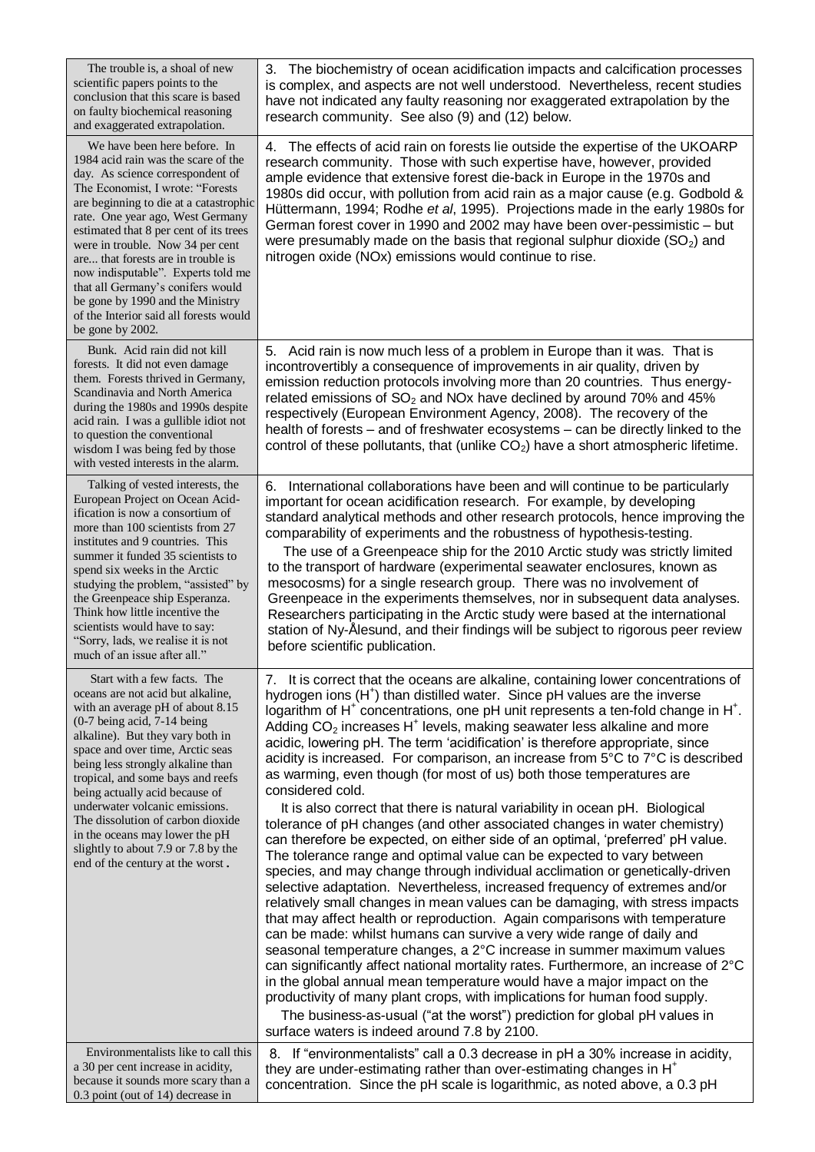| The trouble is, a shoal of new<br>scientific papers points to the<br>conclusion that this scare is based<br>on faulty biochemical reasoning<br>and exaggerated extrapolation.                                                                                                                                                                                                                                                                                                                                              | The biochemistry of ocean acidification impacts and calcification processes<br>3.<br>is complex, and aspects are not well understood. Nevertheless, recent studies<br>have not indicated any faulty reasoning nor exaggerated extrapolation by the<br>research community. See also (9) and (12) below.                                                                                                                                                                                                                                                                                                                                                                                                                                                                                                                                                                                                                                                                                                                                                                                                                                                                        |
|----------------------------------------------------------------------------------------------------------------------------------------------------------------------------------------------------------------------------------------------------------------------------------------------------------------------------------------------------------------------------------------------------------------------------------------------------------------------------------------------------------------------------|-------------------------------------------------------------------------------------------------------------------------------------------------------------------------------------------------------------------------------------------------------------------------------------------------------------------------------------------------------------------------------------------------------------------------------------------------------------------------------------------------------------------------------------------------------------------------------------------------------------------------------------------------------------------------------------------------------------------------------------------------------------------------------------------------------------------------------------------------------------------------------------------------------------------------------------------------------------------------------------------------------------------------------------------------------------------------------------------------------------------------------------------------------------------------------|
| We have been here before. In<br>1984 acid rain was the scare of the<br>day. As science correspondent of<br>The Economist, I wrote: "Forests<br>are beginning to die at a catastrophic<br>rate. One year ago, West Germany<br>estimated that 8 per cent of its trees<br>were in trouble. Now 34 per cent<br>are that forests are in trouble is<br>now indisputable". Experts told me<br>that all Germany's conifers would<br>be gone by 1990 and the Ministry<br>of the Interior said all forests would<br>be gone by 2002. | 4. The effects of acid rain on forests lie outside the expertise of the UKOARP<br>research community. Those with such expertise have, however, provided<br>ample evidence that extensive forest die-back in Europe in the 1970s and<br>1980s did occur, with pollution from acid rain as a major cause (e.g. Godbold &<br>Hüttermann, 1994; Rodhe et al, 1995). Projections made in the early 1980s for<br>German forest cover in 1990 and 2002 may have been over-pessimistic - but<br>were presumably made on the basis that regional sulphur dioxide $(SO2)$ and<br>nitrogen oxide (NOx) emissions would continue to rise.                                                                                                                                                                                                                                                                                                                                                                                                                                                                                                                                                 |
| Bunk. Acid rain did not kill<br>forests. It did not even damage<br>them. Forests thrived in Germany,<br>Scandinavia and North America<br>during the 1980s and 1990s despite<br>acid rain. I was a gullible idiot not<br>to question the conventional<br>wisdom I was being fed by those<br>with vested interests in the alarm.                                                                                                                                                                                             | 5. Acid rain is now much less of a problem in Europe than it was. That is<br>incontrovertibly a consequence of improvements in air quality, driven by<br>emission reduction protocols involving more than 20 countries. Thus energy-<br>related emissions of $SO_2$ and NOx have declined by around 70% and 45%<br>respectively (European Environment Agency, 2008). The recovery of the<br>health of forests – and of freshwater ecosystems – can be directly linked to the<br>control of these pollutants, that (unlike $CO2$ ) have a short atmospheric lifetime.                                                                                                                                                                                                                                                                                                                                                                                                                                                                                                                                                                                                          |
| Talking of vested interests, the<br>European Project on Ocean Acid-<br>ification is now a consortium of<br>more than 100 scientists from 27<br>institutes and 9 countries. This<br>summer it funded 35 scientists to<br>spend six weeks in the Arctic<br>studying the problem, "assisted" by<br>the Greenpeace ship Esperanza.<br>Think how little incentive the<br>scientists would have to say:<br>"Sorry, lads, we realise it is not<br>much of an issue after all."                                                    | 6. International collaborations have been and will continue to be particularly<br>important for ocean acidification research. For example, by developing<br>standard analytical methods and other research protocols, hence improving the<br>comparability of experiments and the robustness of hypothesis-testing.<br>The use of a Greenpeace ship for the 2010 Arctic study was strictly limited<br>to the transport of hardware (experimental seawater enclosures, known as<br>mesocosms) for a single research group. There was no involvement of<br>Greenpeace in the experiments themselves, nor in subsequent data analyses.<br>Researchers participating in the Arctic study were based at the international<br>station of Ny-Alesund, and their findings will be subject to rigorous peer review<br>before scientific publication.                                                                                                                                                                                                                                                                                                                                   |
| Start with a few facts. The<br>oceans are not acid but alkaline,<br>with an average pH of about 8.15<br>$(0-7$ being acid, 7-14 being<br>alkaline). But they vary both in<br>space and over time, Arctic seas<br>being less strongly alkaline than<br>tropical, and some bays and reefs<br>being actually acid because of                                                                                                                                                                                                  | 7. It is correct that the oceans are alkaline, containing lower concentrations of<br>hydrogen ions (H <sup>+</sup> ) than distilled water. Since pH values are the inverse<br>logarithm of H <sup>+</sup> concentrations, one pH unit represents a ten-fold change in H <sup>+</sup> .<br>Adding $CO2$ increases H <sup>+</sup> levels, making seawater less alkaline and more<br>acidic, lowering pH. The term 'acidification' is therefore appropriate, since<br>acidity is increased. For comparison, an increase from 5°C to 7°C is described<br>as warming, even though (for most of us) both those temperatures are<br>considered cold.                                                                                                                                                                                                                                                                                                                                                                                                                                                                                                                                 |
| underwater volcanic emissions.<br>The dissolution of carbon dioxide<br>in the oceans may lower the pH<br>slightly to about 7.9 or 7.8 by the<br>end of the century at the worst.                                                                                                                                                                                                                                                                                                                                           | It is also correct that there is natural variability in ocean pH. Biological<br>tolerance of pH changes (and other associated changes in water chemistry)<br>can therefore be expected, on either side of an optimal, 'preferred' pH value.<br>The tolerance range and optimal value can be expected to vary between<br>species, and may change through individual acclimation or genetically-driven<br>selective adaptation. Nevertheless, increased frequency of extremes and/or<br>relatively small changes in mean values can be damaging, with stress impacts<br>that may affect health or reproduction. Again comparisons with temperature<br>can be made: whilst humans can survive a very wide range of daily and<br>seasonal temperature changes, a 2°C increase in summer maximum values<br>can significantly affect national mortality rates. Furthermore, an increase of 2°C<br>in the global annual mean temperature would have a major impact on the<br>productivity of many plant crops, with implications for human food supply.<br>The business-as-usual ("at the worst") prediction for global pH values in<br>surface waters is indeed around 7.8 by 2100. |
| Environmentalists like to call this<br>a 30 per cent increase in acidity,<br>because it sounds more scary than a<br>0.3 point (out of 14) decrease in                                                                                                                                                                                                                                                                                                                                                                      | 8. If "environmentalists" call a 0.3 decrease in pH a 30% increase in acidity,<br>they are under-estimating rather than over-estimating changes in H <sup>+</sup><br>concentration. Since the pH scale is logarithmic, as noted above, a 0.3 pH                                                                                                                                                                                                                                                                                                                                                                                                                                                                                                                                                                                                                                                                                                                                                                                                                                                                                                                               |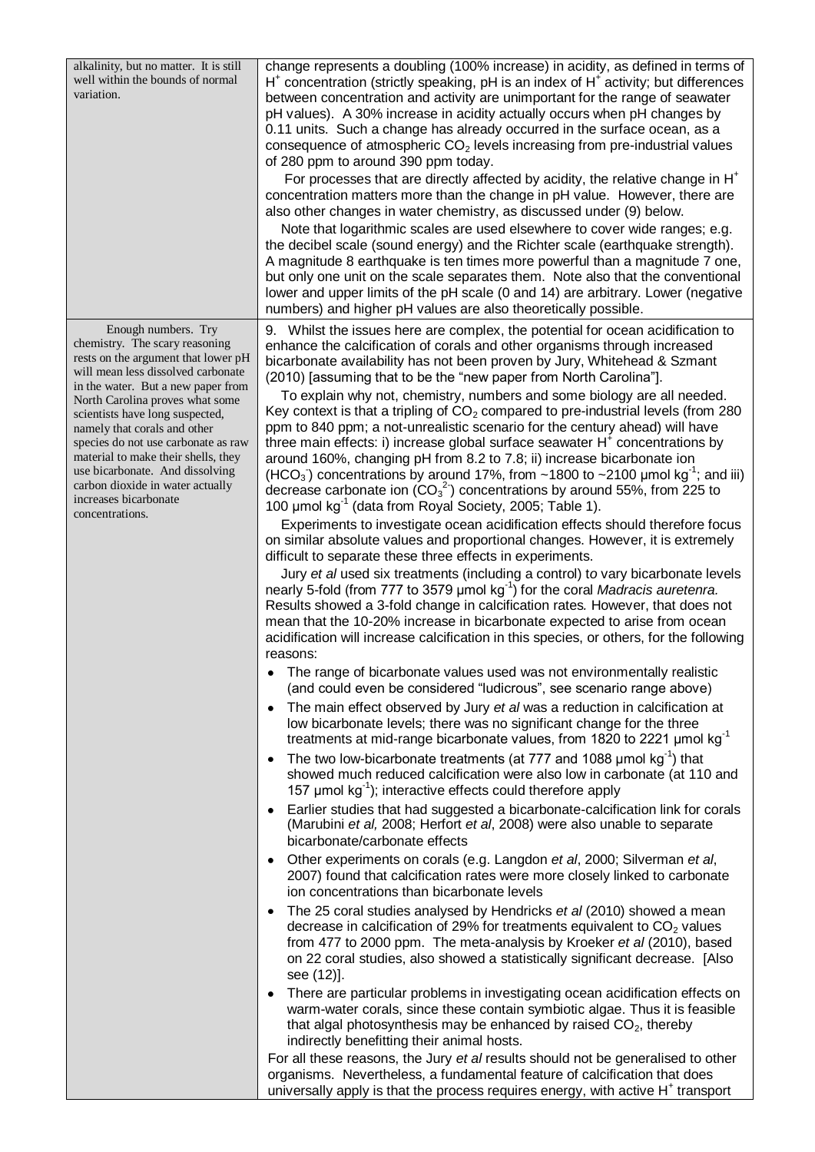alkalinity, but no matter. It is still well within the bounds of normal variation.

 Enough numbers. Try chemistry. The scary reasoning rests on the argument that lower pH will mean less dissolved carbonate in the water. But a new paper from North Carolina proves what some scientists have long suspected, namely that corals and other species do not use carbonate as raw material to make their shells, they use bicarbonate. And dissolving carbon dioxide in water actually increases bicarbonate concentrations.

change represents a doubling (100% increase) in acidity, as defined in terms of  $H^+$  concentration (strictly speaking, pH is an index of  $H^+$  activity; but differences between concentration and activity are unimportant for the range of seawater pH values). A 30% increase in acidity actually occurs when pH changes by 0.11 units. Such a change has already occurred in the surface ocean, as a consequence of atmospheric  $CO<sub>2</sub>$  levels increasing from pre-industrial values of 280 ppm to around 390 ppm today.

For processes that are directly affected by acidity, the relative change in H<sup>+</sup> concentration matters more than the change in pH value. However, there are also other changes in water chemistry, as discussed under (9) below.

 Note that logarithmic scales are used elsewhere to cover wide ranges; e.g. the decibel scale (sound energy) and the Richter scale (earthquake strength). A magnitude 8 earthquake is ten times more powerful than a magnitude 7 one, but only one unit on the scale separates them. Note also that the conventional lower and upper limits of the pH scale (0 and 14) are arbitrary. Lower (negative numbers) and higher pH values are also theoretically possible.

9. Whilst the issues here are complex, the potential for ocean acidification to enhance the calcification of corals and other organisms through increased bicarbonate availability has not been proven by Jury, Whitehead & Szmant (2010) [assuming that to be the "new paper from North Carolina"].

 To explain why not, chemistry, numbers and some biology are all needed. Key context is that a tripling of  $CO<sub>2</sub>$  compared to pre-industrial levels (from 280 ppm to 840 ppm; a not-unrealistic scenario for the century ahead) will have three main effects: i) increase global surface seawater  $H^{\dagger}$  concentrations by around 160%, changing pH from 8.2 to 7.8; ii) increase bicarbonate ion (HCO<sub>3</sub>) concentrations by around 17%, from  $\sim$  1800 to  $\sim$  2100 µmol kg<sup>-1</sup>; and iii) decrease carbonate ion  $(CO_3^2)$  concentrations by around 55%, from 225 to 100 μmol kg-1 (data from Royal Society, 2005; Table 1).

 Experiments to investigate ocean acidification effects should therefore focus on similar absolute values and proportional changes. However, it is extremely difficult to separate these three effects in experiments.

 Jury *et al* used six treatments (including a control) t*o* vary bicarbonate levels nearly 5-fold (from 777 to 3579 μmol kg-1 ) for the coral *Madracis auretenra.*  Results showed a 3-fold change in calcification rates*.* However, that does not mean that the 10-20% increase in bicarbonate expected to arise from ocean acidification will increase calcification in this species, or others, for the following reasons:

- The range of bicarbonate values used was not environmentally realistic (and could even be considered "ludicrous", see scenario range above)
- The main effect observed by Jury *et al* was a reduction in calcification at low bicarbonate levels; there was no significant change for the three treatments at mid-range bicarbonate values, from 1820 to 2221 μmol kg-1
- The two low-bicarbonate treatments (at 777 and 1088  $\mu$ mol kg<sup>-1</sup>) that showed much reduced calcification were also low in carbonate (at 110 and 157  $\mu$ mol kg<sup>-1</sup>); interactive effects could therefore apply
- Earlier studies that had suggested a bicarbonate-calcification link for corals (Marubini *et al,* 2008; Herfort *et al*, 2008) were also unable to separate bicarbonate/carbonate effects
- Other experiments on corals (e.g. Langdon *et al*, 2000; Silverman *et al*, 2007) found that calcification rates were more closely linked to carbonate ion concentrations than bicarbonate levels
- The 25 coral studies analysed by Hendricks *et al* (2010) showed a mean decrease in calcification of 29% for treatments equivalent to  $CO<sub>2</sub>$  values from 477 to 2000 ppm. The meta-analysis by Kroeker *et al* (2010), based on 22 coral studies, also showed a statistically significant decrease. [Also see (12)].
- There are particular problems in investigating ocean acidification effects on warm-water corals, since these contain symbiotic algae. Thus it is feasible that algal photosynthesis may be enhanced by raised  $CO<sub>2</sub>$ , thereby indirectly benefitting their animal hosts.

For all these reasons, the Jury *et al* results should not be generalised to other organisms. Nevertheless, a fundamental feature of calcification that does universally apply is that the process requires energy, with active  $H^+$  transport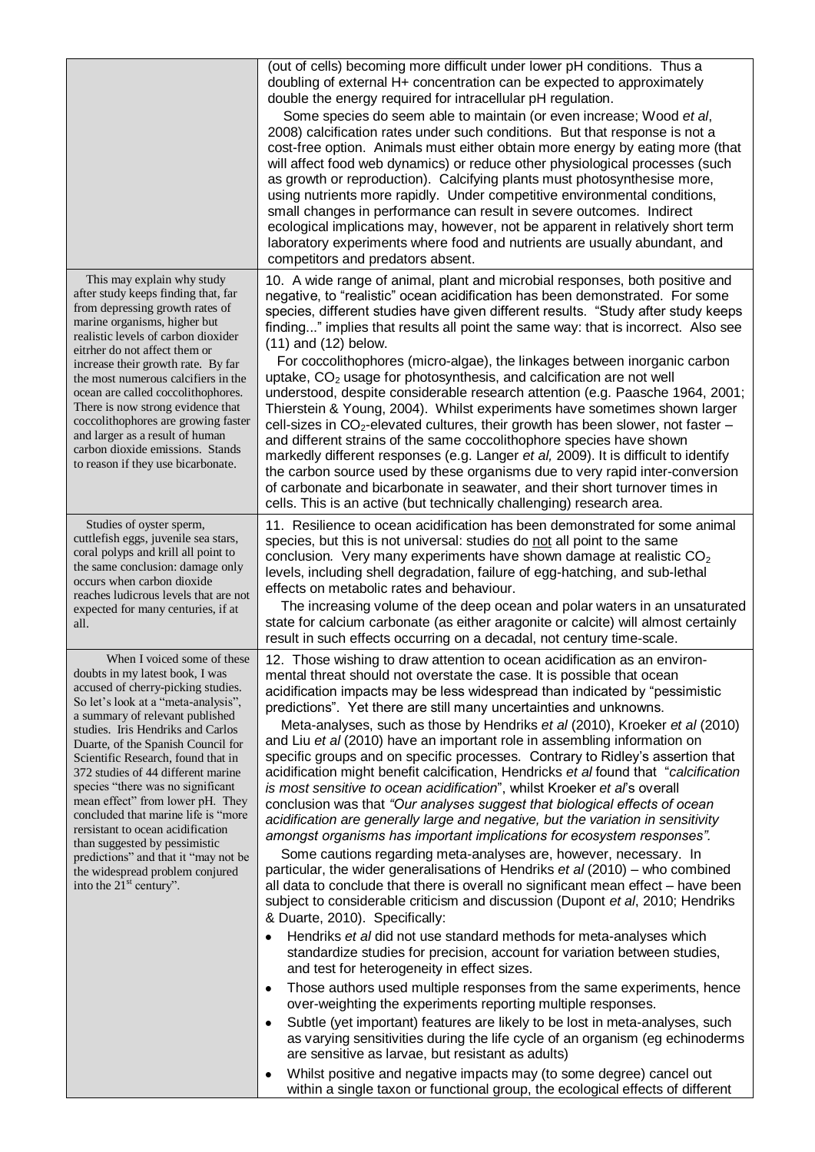|                                                                                                                                                                                                                                                                                                                                                                                                                                                                                                                                                                                                                                                | (out of cells) becoming more difficult under lower pH conditions. Thus a<br>doubling of external H+ concentration can be expected to approximately<br>double the energy required for intracellular pH regulation.<br>Some species do seem able to maintain (or even increase; Wood et al,<br>2008) calcification rates under such conditions. But that response is not a<br>cost-free option. Animals must either obtain more energy by eating more (that<br>will affect food web dynamics) or reduce other physiological processes (such<br>as growth or reproduction). Calcifying plants must photosynthesise more,<br>using nutrients more rapidly. Under competitive environmental conditions,<br>small changes in performance can result in severe outcomes. Indirect<br>ecological implications may, however, not be apparent in relatively short term<br>laboratory experiments where food and nutrients are usually abundant, and<br>competitors and predators absent.                                                                                                                                                                                                                                                                                                                                                                                                                                                                                                                                                                                                                                                                                                                                                                                                                                                                                                                                                                                                                                                                                                       |
|------------------------------------------------------------------------------------------------------------------------------------------------------------------------------------------------------------------------------------------------------------------------------------------------------------------------------------------------------------------------------------------------------------------------------------------------------------------------------------------------------------------------------------------------------------------------------------------------------------------------------------------------|--------------------------------------------------------------------------------------------------------------------------------------------------------------------------------------------------------------------------------------------------------------------------------------------------------------------------------------------------------------------------------------------------------------------------------------------------------------------------------------------------------------------------------------------------------------------------------------------------------------------------------------------------------------------------------------------------------------------------------------------------------------------------------------------------------------------------------------------------------------------------------------------------------------------------------------------------------------------------------------------------------------------------------------------------------------------------------------------------------------------------------------------------------------------------------------------------------------------------------------------------------------------------------------------------------------------------------------------------------------------------------------------------------------------------------------------------------------------------------------------------------------------------------------------------------------------------------------------------------------------------------------------------------------------------------------------------------------------------------------------------------------------------------------------------------------------------------------------------------------------------------------------------------------------------------------------------------------------------------------------------------------------------------------------------------------------------------------|
| This may explain why study<br>after study keeps finding that, far<br>from depressing growth rates of<br>marine organisms, higher but<br>realistic levels of carbon dioxider<br>eitrher do not affect them or<br>increase their growth rate. By far<br>the most numerous calcifiers in the<br>ocean are called coccolithophores.<br>There is now strong evidence that<br>coccolithophores are growing faster<br>and larger as a result of human<br>carbon dioxide emissions. Stands<br>to reason if they use bicarbonate.                                                                                                                       | 10. A wide range of animal, plant and microbial responses, both positive and<br>negative, to "realistic" ocean acidification has been demonstrated. For some<br>species, different studies have given different results. "Study after study keeps<br>finding" implies that results all point the same way: that is incorrect. Also see<br>$(11)$ and $(12)$ below.<br>For coccolithophores (micro-algae), the linkages between inorganic carbon<br>uptake, $CO2$ usage for photosynthesis, and calcification are not well<br>understood, despite considerable research attention (e.g. Paasche 1964, 2001;<br>Thierstein & Young, 2004). Whilst experiments have sometimes shown larger<br>cell-sizes in $CO_2$ -elevated cultures, their growth has been slower, not faster –<br>and different strains of the same coccolithophore species have shown<br>markedly different responses (e.g. Langer et al, 2009). It is difficult to identify<br>the carbon source used by these organisms due to very rapid inter-conversion<br>of carbonate and bicarbonate in seawater, and their short turnover times in<br>cells. This is an active (but technically challenging) research area.                                                                                                                                                                                                                                                                                                                                                                                                                                                                                                                                                                                                                                                                                                                                                                                                                                                                                                |
| Studies of oyster sperm,<br>cuttlefish eggs, juvenile sea stars,<br>coral polyps and krill all point to<br>the same conclusion: damage only<br>occurs when carbon dioxide<br>reaches ludicrous levels that are not<br>expected for many centuries, if at<br>all.                                                                                                                                                                                                                                                                                                                                                                               | 11. Resilience to ocean acidification has been demonstrated for some animal<br>species, but this is not universal: studies do not all point to the same<br>conclusion. Very many experiments have shown damage at realistic $CO2$<br>levels, including shell degradation, failure of egg-hatching, and sub-lethal<br>effects on metabolic rates and behaviour.<br>The increasing volume of the deep ocean and polar waters in an unsaturated<br>state for calcium carbonate (as either aragonite or calcite) will almost certainly<br>result in such effects occurring on a decadal, not century time-scale.                                                                                                                                                                                                                                                                                                                                                                                                                                                                                                                                                                                                                                                                                                                                                                                                                                                                                                                                                                                                                                                                                                                                                                                                                                                                                                                                                                                                                                                                         |
| When I voiced some of these<br>doubts in my latest book, I was<br>accused of cherry-picking studies.<br>So let's look at a "meta-analysis",<br>a summary of relevant published<br>studies. Iris Hendriks and Carlos<br>Duarte, of the Spanish Council for<br>Scientific Research, found that in<br>372 studies of 44 different marine<br>species "there was no significant<br>mean effect" from lower pH. They<br>concluded that marine life is "more"<br>rersistant to ocean acidification<br>than suggested by pessimistic<br>predictions" and that it "may not be<br>the widespread problem conjured<br>into the 21 <sup>st</sup> century". | 12. Those wishing to draw attention to ocean acidification as an environ-<br>mental threat should not overstate the case. It is possible that ocean<br>acidification impacts may be less widespread than indicated by "pessimistic<br>predictions". Yet there are still many uncertainties and unknowns.<br>Meta-analyses, such as those by Hendriks et al (2010), Kroeker et al (2010)<br>and Liu et al (2010) have an important role in assembling information on<br>specific groups and on specific processes. Contrary to Ridley's assertion that<br>acidification might benefit calcification, Hendricks et al found that "calcification<br>is most sensitive to ocean acidification", whilst Kroeker et al's overall<br>conclusion was that "Our analyses suggest that biological effects of ocean<br>acidification are generally large and negative, but the variation in sensitivity<br>amongst organisms has important implications for ecosystem responses".<br>Some cautions regarding meta-analyses are, however, necessary. In<br>particular, the wider generalisations of Hendriks et al (2010) – who combined<br>all data to conclude that there is overall no significant mean effect - have been<br>subject to considerable criticism and discussion (Dupont et al, 2010; Hendriks<br>& Duarte, 2010). Specifically:<br>Hendriks et al did not use standard methods for meta-analyses which<br>standardize studies for precision, account for variation between studies,<br>and test for heterogeneity in effect sizes.<br>Those authors used multiple responses from the same experiments, hence<br>٠<br>over-weighting the experiments reporting multiple responses.<br>Subtle (yet important) features are likely to be lost in meta-analyses, such<br>$\bullet$<br>as varying sensitivities during the life cycle of an organism (eg echinoderms<br>are sensitive as larvae, but resistant as adults)<br>Whilst positive and negative impacts may (to some degree) cancel out<br>within a single taxon or functional group, the ecological effects of different |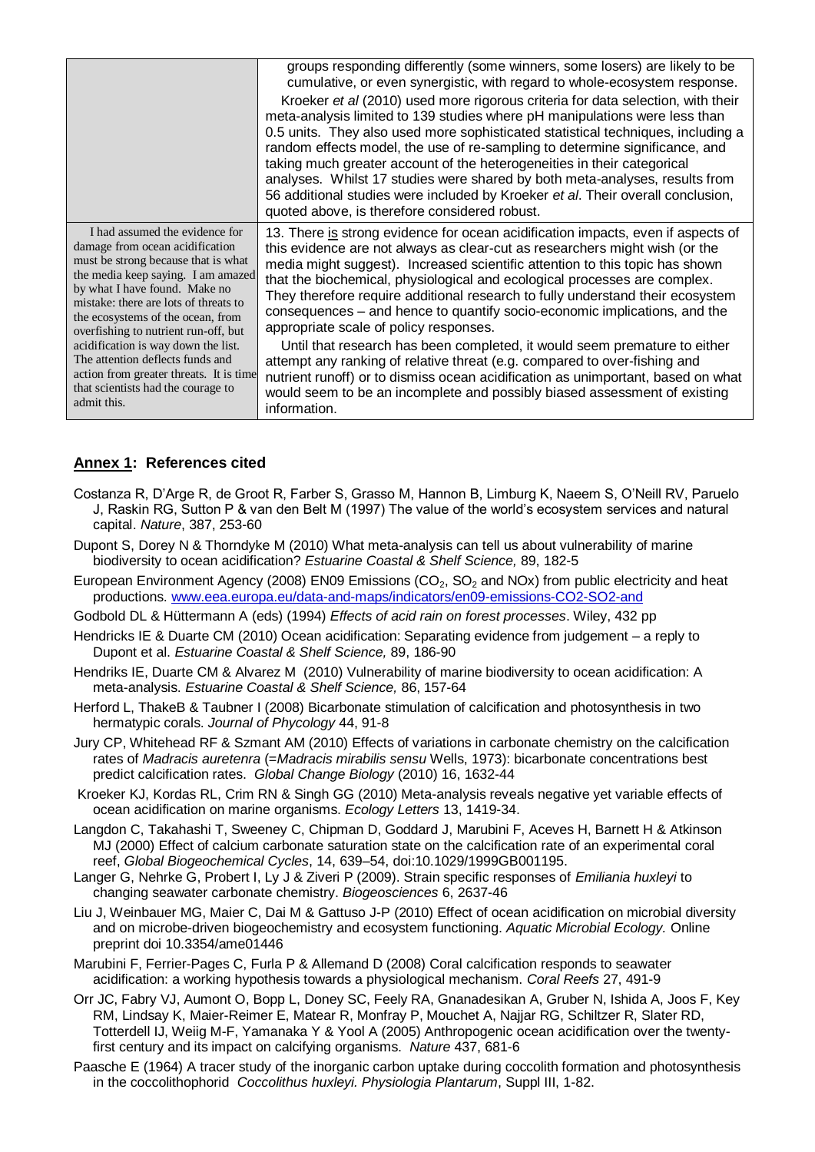|                                                                                                                                                                                                                                                                                                                                                                                                                                                                                  | groups responding differently (some winners, some losers) are likely to be<br>cumulative, or even synergistic, with regard to whole-ecosystem response.<br>Kroeker et al (2010) used more rigorous criteria for data selection, with their<br>meta-analysis limited to 139 studies where pH manipulations were less than<br>0.5 units. They also used more sophisticated statistical techniques, including a<br>random effects model, the use of re-sampling to determine significance, and<br>taking much greater account of the heterogeneities in their categorical<br>analyses. Whilst 17 studies were shared by both meta-analyses, results from<br>56 additional studies were included by Kroeker et al. Their overall conclusion,<br>quoted above, is therefore considered robust.                                                                                        |
|----------------------------------------------------------------------------------------------------------------------------------------------------------------------------------------------------------------------------------------------------------------------------------------------------------------------------------------------------------------------------------------------------------------------------------------------------------------------------------|----------------------------------------------------------------------------------------------------------------------------------------------------------------------------------------------------------------------------------------------------------------------------------------------------------------------------------------------------------------------------------------------------------------------------------------------------------------------------------------------------------------------------------------------------------------------------------------------------------------------------------------------------------------------------------------------------------------------------------------------------------------------------------------------------------------------------------------------------------------------------------|
| I had assumed the evidence for<br>damage from ocean acidification<br>must be strong because that is what<br>the media keep saying. I am amazed<br>by what I have found. Make no<br>mistake: there are lots of threats to<br>the ecosystems of the ocean, from<br>overfishing to nutrient run-off, but<br>acidification is way down the list.<br>The attention deflects funds and<br>action from greater threats. It is time<br>that scientists had the courage to<br>admit this. | 13. There is strong evidence for ocean acidification impacts, even if aspects of<br>this evidence are not always as clear-cut as researchers might wish (or the<br>media might suggest). Increased scientific attention to this topic has shown<br>that the biochemical, physiological and ecological processes are complex.<br>They therefore require additional research to fully understand their ecosystem<br>consequences - and hence to quantify socio-economic implications, and the<br>appropriate scale of policy responses.<br>Until that research has been completed, it would seem premature to either<br>attempt any ranking of relative threat (e.g. compared to over-fishing and<br>nutrient runoff) or to dismiss ocean acidification as unimportant, based on what<br>would seem to be an incomplete and possibly biased assessment of existing<br>information. |

## **Annex 1: References cited**

- Costanza R, D"Arge R, de Groot R, Farber S, Grasso M, Hannon B, Limburg K, Naeem S, O"Neill RV, Paruelo J, Raskin RG, Sutton P & van den Belt M (1997) The value of the world"s ecosystem services and natural capital. *Nature*, 387, 253-60
- Dupont S, Dorey N & Thorndyke M (2010) What meta-analysis can tell us about vulnerability of marine biodiversity to ocean acidification? *Estuarine Coastal & Shelf Science,* 89, 182-5
- European Environment Agency (2008) EN09 Emissions ( $CO<sub>2</sub>$ , SO<sub>2</sub> and NOx) from public electricity and heat productions. [www.eea.europa.eu/data-and-maps/indicators/en09-emissions-CO2-SO2-and](http://www.eea.europa.eu/data-and-maps/indicators/en09-emissions-CO2-SO2-and)
- Godbold DL & Hüttermann A (eds) (1994) *Effects of acid rain on forest processes*. Wiley, 432 pp
- Hendricks IE & Duarte CM (2010) Ocean acidification: Separating evidence from judgement a reply to Dupont et al. *Estuarine Coastal & Shelf Science,* 89, 186-90
- Hendriks IE, Duarte CM & Alvarez M (2010) Vulnerability of marine biodiversity to ocean acidification: A meta-analysis. *Estuarine Coastal & Shelf Science,* 86, 157-64
- Herford L, ThakeB & Taubner I (2008) Bicarbonate stimulation of calcification and photosynthesis in two hermatypic corals. *Journal of Phycology* 44, 91-8
- Jury CP, Whitehead RF & Szmant AM (2010) Effects of variations in carbonate chemistry on the calcification rates of *Madracis auretenra* (=*Madracis mirabilis sensu* Wells, 1973): bicarbonate concentrations best predict calcification rates. *Global Change Biology* (2010) 16, 1632-44
- Kroeker KJ, Kordas RL, Crim RN & Singh GG (2010) Meta-analysis reveals negative yet variable effects of ocean acidification on marine organisms. *Ecology Letters* 13, 1419-34.
- Langdon C, Takahashi T, Sweeney C, Chipman D, Goddard J, Marubini F, Aceves H, Barnett H & Atkinson MJ (2000) Effect of calcium carbonate saturation state on the calcification rate of an experimental coral reef, *Global Biogeochemical Cycles*, 14, 639–54, doi:10.1029/1999GB001195.
- Langer G, Nehrke G, Probert I, Ly J & Ziveri P (2009). Strain specific responses of *Emiliania huxleyi* to changing seawater carbonate chemistry. *Biogeosciences* 6, 2637-46
- Liu J, Weinbauer MG, Maier C, Dai M & Gattuso J-P (2010) Effect of ocean acidification on microbial diversity and on microbe-driven biogeochemistry and ecosystem functioning. *Aquatic Microbial Ecology.* Online preprint doi 10.3354/ame01446
- Marubini F, Ferrier-Pages C, Furla P & Allemand D (2008) Coral calcification responds to seawater acidification: a working hypothesis towards a physiological mechanism. *Coral Reefs* 27, 491-9
- Orr JC, Fabry VJ, Aumont O, Bopp L, Doney SC, Feely RA, Gnanadesikan A, Gruber N, Ishida A, Joos F, Key RM, Lindsay K, Maier-Reimer E, Matear R, Monfray P, Mouchet A, Najjar RG, Schiltzer R, Slater RD, Totterdell IJ, Weiig M-F, Yamanaka Y & Yool A (2005) Anthropogenic ocean acidification over the twentyfirst century and its impact on calcifying organisms. *Nature* 437, 681-6
- Paasche E (1964) A tracer study of the inorganic carbon uptake during coccolith formation and photosynthesis in the coccolithophorid *Coccolithus huxleyi. Physiologia Plantarum*, Suppl III, 1-82.